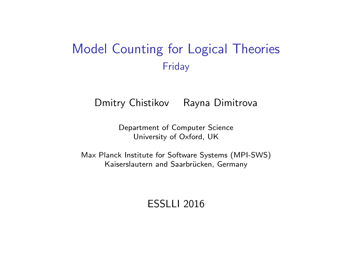# Model Counting for Logical Theories Friday

Dmitry Chistikov Rayna Dimitrova

Department of Computer Science University of Oxford, UK

Max Planck Institute for Software Systems (MPI-SWS) Kaiserslautern and Saarbrücken, Germany

ESSLLI 2016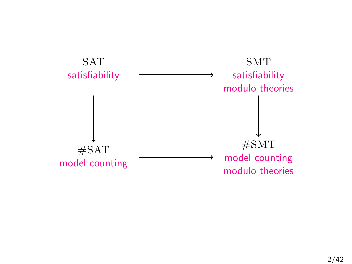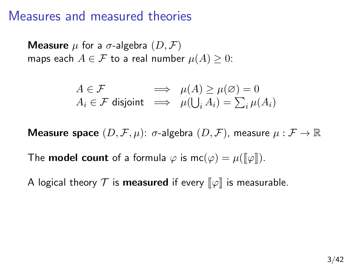### Measures and measured theories

**Measure**  $\mu$  for a  $\sigma$ -algebra  $(D, \mathcal{F})$ maps each  $A \in \mathcal{F}$  to a real number  $\mu(A) \geq 0$ :

$$
\begin{array}{rcl} A \in \mathcal{F} & \implies & \mu(A) \geq \mu(\varnothing) = 0 \\ A_i \in \mathcal{F} \text{ disjoint} & \implies & \mu(\bigcup_i A_i) = \sum_i \mu(A_i) \end{array}
$$

**Measure space**  $(D, \mathcal{F}, \mu)$ :  $\sigma$ -algebra  $(D, \mathcal{F})$ , measure  $\mu : \mathcal{F} \to \mathbb{R}$ 

The **model count** of a formula  $\varphi$  is mc( $\varphi$ ) =  $\mu(\llbracket \varphi \rrbracket)$ .

A logical theory  $\mathcal T$  is measured if every  $\llbracket \varphi \rrbracket$  is measurable.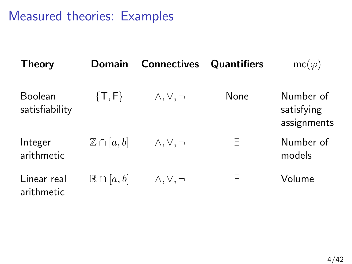Measured theories: Examples

| <b>Theory</b>                    | <b>Domain</b>            | <b>Connectives</b>   | <b>Quantifiers</b> | $mc(\varphi)$                          |
|----------------------------------|--------------------------|----------------------|--------------------|----------------------------------------|
| <b>Boolean</b><br>satisfiability | $\{T, F\}$               | $\wedge, \vee, \neg$ | None               | Number of<br>satisfying<br>assignments |
| Integer<br>arithmetic            | $\mathbb{Z} \cap [a, b]$ | $\wedge, \vee, \neg$ | Е                  | Number of<br>models                    |
| Linear real<br>arithmetic        | $\mathbb{R}\cap [a,b]$   | $\wedge, \vee, \neg$ | Е                  | Volume                                 |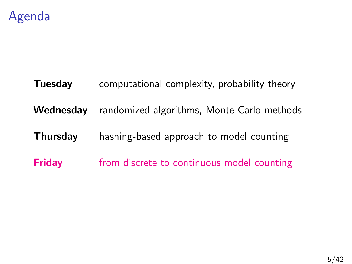

# **Tuesday** computational complexity, probability theory Wednesday randomized algorithms, Monte Carlo methods Thursday hashing-based approach to model counting **Friday** from discrete to continuous model counting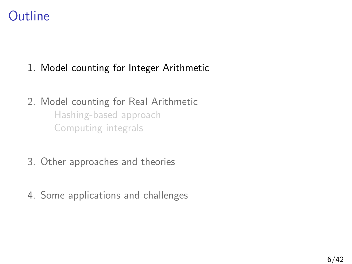# **Outline**

### 1. [Model counting for Integer Arithmetic](#page-5-0)

### 2. [Model counting for Real Arithmetic](#page-14-0) [Hashing-based approach](#page-15-0) [Computing integrals](#page-25-0)

- 3. [Other approaches and theories](#page-27-0)
- <span id="page-5-0"></span>4. [Some applications and challenges](#page-34-0)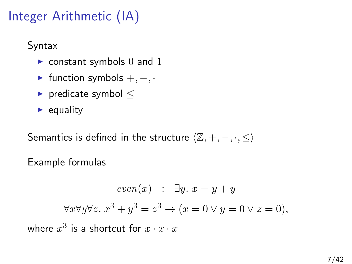# Integer Arithmetic (IA)

Syntax

- $\triangleright$  constant symbols 0 and 1
- $\triangleright$  function symbols  $+,-,$
- $\blacktriangleright$  predicate symbol  $\lt$
- $\blacktriangleright$  equality

Semantics is defined in the structure  $\langle \mathbb{Z}, +, -, \cdot, \leq \rangle$ 

Example formulas

 $even(x)$  :  $\exists y. x = y + y$  $\forall x \forall y \forall z. \ x^3 + y^3 = z^3 \rightarrow (x = 0 \lor y = 0 \lor z = 0),$ where  $x^3$  is a shortcut for  $x\cdot x\cdot x$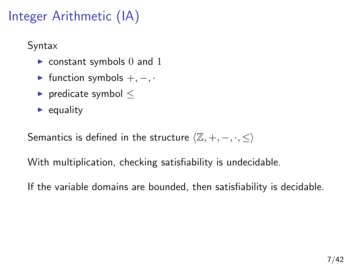# Integer Arithmetic (IA)

Syntax

- $\triangleright$  constant symbols 0 and 1
- $\triangleright$  function symbols  $+,-,$
- $\blacktriangleright$  predicate symbol  $\lt$
- $\blacktriangleright$  equality

Semantics is defined in the structure  $\langle \mathbb{Z}, +, -, \cdot, \leq \rangle$ 

With multiplication, checking satisfiability is undecidable.

If the variable domains are bounded, then satisfiability is decidable.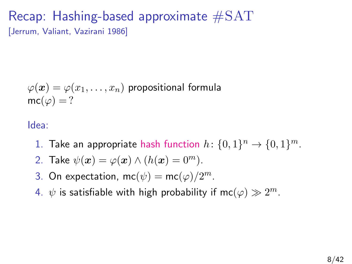### Recap: Hashing-based approximate  $\#\text{SAT}$ [Jerrum, Valiant, Vazirani 1986]

$$
\varphi(\boldsymbol{x}) = \varphi(x_1, \dots, x_n)
$$
 propositional formula  
mc( $\varphi$ ) = ?

Idea:

- 1. Take an appropriate hash function  $h: \{0,1\}^n \rightarrow \{0,1\}^m$ .
- 2. Take  $\psi(\mathbf{x}) = \varphi(\mathbf{x}) \wedge (h(\mathbf{x}) = 0^m)$ .
- 3. On expectation, mc( $\psi$ ) = mc( $\varphi$ )/2<sup>m</sup>.
- 4.  $\psi$  is satisfiable with high probability if mc $(\varphi) \gg 2^m$ .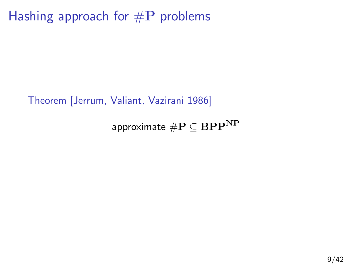Hashing approach for  $\#P$  problems

Theorem [Jerrum, Valiant, Vazirani 1986]

approximate  $\#\mathbf{P} \subseteq \mathbf{BPP^{NP}}$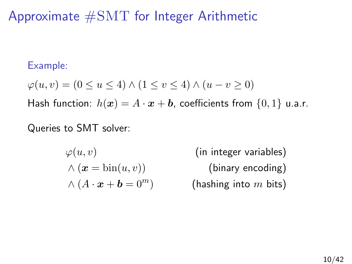# Approximate #SMT for Integer Arithmetic

#### Example:

$$
\varphi(u, v) = (0 \le u \le 4) \land (1 \le v \le 4) \land (u - v \ge 0)
$$

Hash function:  $h(x) = A \cdot x + b$ , coefficients from  $\{0, 1\}$  u.a.r.

### Queries to SMT solver:

$$
\varphi(u, v)
$$
  
 
$$
\wedge (\boldsymbol{x} = \text{bin}(u, v))
$$
  
 
$$
\wedge (A \cdot \boldsymbol{x} + \boldsymbol{b} = 0^m)
$$

(in integer variables)  $(hinary encoding)$ (hashing into  $m$  bits)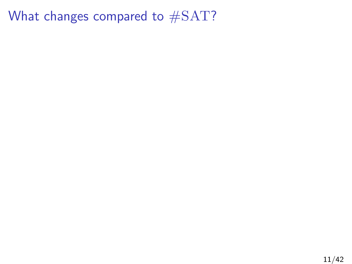What changes compared to #SAT?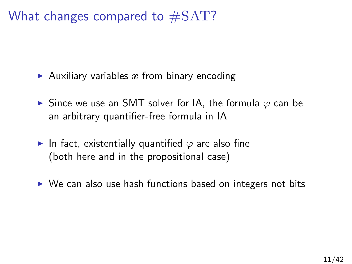What changes compared to  $\#SAT$ ?

- Auxiliary variables x from binary encoding
- $\triangleright$  Since we use an SMT solver for IA, the formula  $\varphi$  can be an arbitrary quantifier-free formula in IA
- In fact, existentially quantified  $\varphi$  are also fine (both here and in the propositional case)
- $\triangleright$  We can also use hash functions based on integers not bits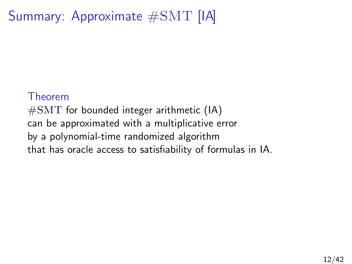# Summary: Approximate #SMT [IA]

#### Theorem

 $\#\text{SMT}$  for bounded integer arithmetic (IA) can be approximated with a multiplicative error by a polynomial-time randomized algorithm that has oracle access to satisfiability of formulas in IA.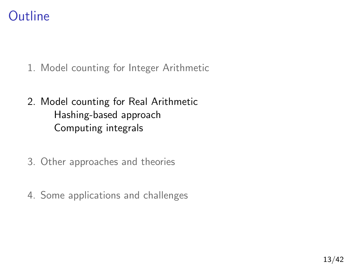# **Outline**

- 1. [Model counting for Integer Arithmetic](#page-5-0)
- 2. [Model counting for Real Arithmetic](#page-14-0) [Hashing-based approach](#page-15-0) [Computing integrals](#page-25-0)
- 3. [Other approaches and theories](#page-27-0)
- <span id="page-14-0"></span>4. [Some applications and challenges](#page-34-0)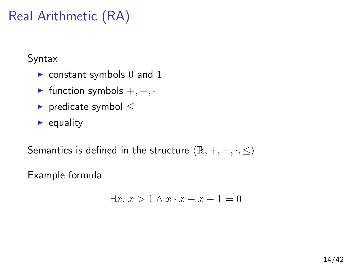# Real Arithmetic (RA)

Syntax

- $\blacktriangleright$  constant symbols 0 and 1
- $\triangleright$  function symbols  $+,-,$
- $\blacktriangleright$  predicate symbol  $\lt$
- $\blacktriangleright$  equality

Semantics is defined in the structure  $\langle \mathbb{R}, +, -, \cdot, \leq \rangle$ 

Example formula

<span id="page-15-0"></span>
$$
\exists x. \ x > 1 \land x \cdot x - x - 1 = 0
$$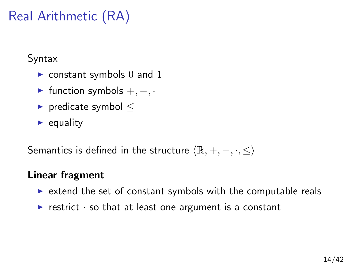# Real Arithmetic (RA)

Syntax

- $\blacktriangleright$  constant symbols 0 and 1
- $\triangleright$  function symbols  $+,-,$
- $\blacktriangleright$  predicate symbol  $\lt$
- $\blacktriangleright$  equality

Semantics is defined in the structure  $\langle \mathbb{R}, +, -, \cdot, \leq \rangle$ 

### Linear fragment

- $\triangleright$  extend the set of constant symbols with the computable reals
- restrict  $\cdot$  so that at least one argument is a constant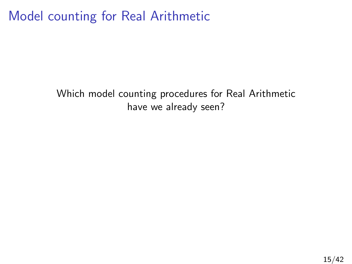Model counting for Real Arithmetic

Which model counting procedures for Real Arithmetic have we already seen?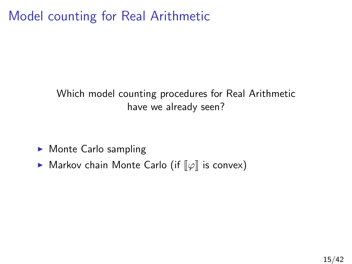Model counting for Real Arithmetic

### Which model counting procedures for Real Arithmetic have we already seen?

- $\blacktriangleright$  Monte Carlo sampling
- ▶ Markov chain Monte Carlo (if  $\llbracket \varphi \rrbracket$  is convex)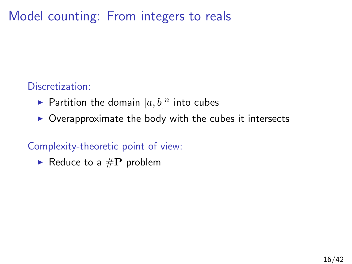Model counting: From integers to reals

### Discretization:

- $\blacktriangleright$  Partition the domain  $[a,b]^n$  into cubes
- $\triangleright$  Overapproximate the body with the cubes it intersects

#### Complexity-theoretic point of view:

Reduce to a  $\#P$  problem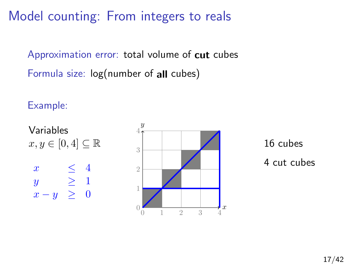Model counting: From integers to reals

Approximation error: total volume of cut cubes Formula size: log(number of all cubes)

Example:

Variables  $x, y \in [0, 4] \subseteq \mathbb{R}$  $x \leq 4$ y  $\geq 1$  $x - y \geq 0$ 



16 cubes 4 cut cubes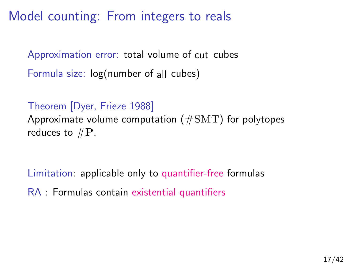Model counting: From integers to reals

Approximation error: total volume of cut cubes Formula size: log(number of all cubes)

Theorem [Dyer, Frieze 1988] Approximate volume computation ( $\# \text{SMT}$ ) for polytopes reduces to  $\#P$ .

Limitation: applicable only to quantifier-free formulas RA : Formulas contain existential quantifiers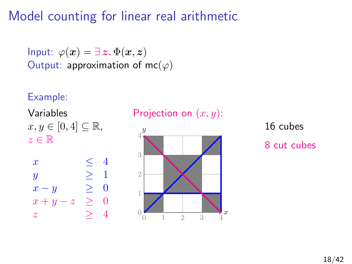# Model counting for linear real arithmetic

Input:  $\varphi(x) = \exists z \, \Phi(x, z)$ Output: approximation of mc $(\varphi)$ 

#### Example:







16 cubes 8 cut cubes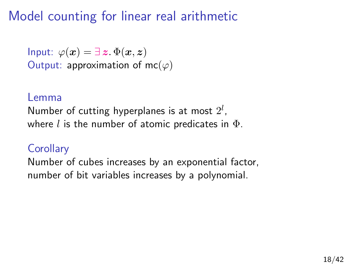# Model counting for linear real arithmetic

Input:  $\varphi(x) = \exists z \, \Phi(x, z)$ Output: approximation of mc $(\varphi)$ 

#### Lemma

Number of cutting hyperplanes is at most  $2^l$ , where l is the number of atomic predicates in  $\Phi$ .

### **Corollary**

Number of cubes increases by an exponential factor, number of bit variables increases by a polynomial.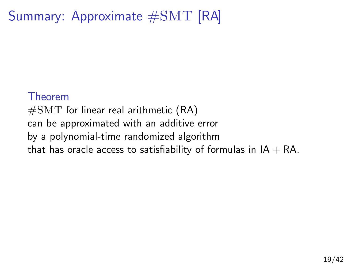# Summary: Approximate #SMT [RA]

#### Theorem

 $\#\text{SMT}$  for linear real arithmetic (RA) can be approximated with an additive error by a polynomial-time randomized algorithm that has oracle access to satisfiability of formulas in  $IA + RA$ .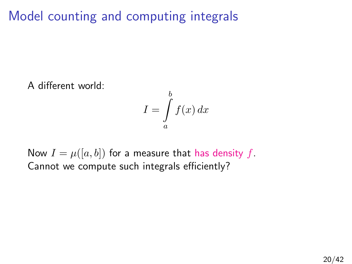Model counting and computing integrals

A different world:

<span id="page-25-0"></span>
$$
I = \int\limits_{a}^{b} f(x) \, dx
$$

Now  $I = \mu([a, b])$  for a measure that has density f. Cannot we compute such integrals efficiently?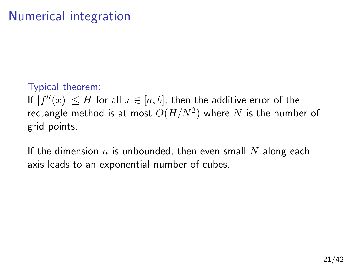# Numerical integration

### Typical theorem:

If  $|f''(x)| \leq H$  for all  $x \in [a, b]$ , then the additive error of the rectangle method is at most  $O(H/N^2)$  where  $N$  is the number of grid points.

If the dimension  $n$  is unbounded, then even small  $N$  along each axis leads to an exponential number of cubes.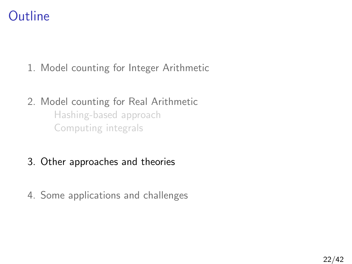# **Outline**

- 1. [Model counting for Integer Arithmetic](#page-5-0)
- 2. [Model counting for Real Arithmetic](#page-14-0) [Hashing-based approach](#page-15-0) [Computing integrals](#page-25-0)
- 3. [Other approaches and theories](#page-27-0)
- <span id="page-27-0"></span>4. [Some applications and challenges](#page-34-0)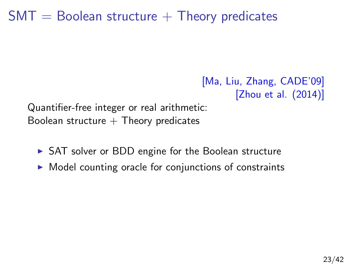# $SMT =$  Boolean structure  $+$  Theory predicates

[Ma, Liu, Zhang, CADE'09] [Zhou et al. (2014)]

Quantifier-free integer or real arithmetic: Boolean structure  $+$  Theory predicates

- $\triangleright$  SAT solver or BDD engine for the Boolean structure
- $\triangleright$  Model counting oracle for conjunctions of constraints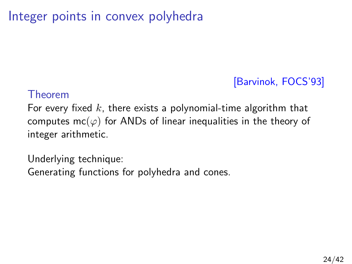# Integer points in convex polyhedra

### [Barvinok, FOCS'93]

#### Theorem

For every fixed  $k$ , there exists a polynomial-time algorithm that computes mc( $\varphi$ ) for ANDs of linear inequalities in the theory of integer arithmetic.

Underlying technique: Generating functions for polyhedra and cones.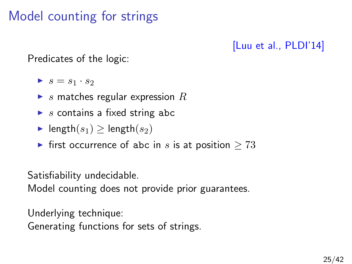# Model counting for strings

### [Luu et al., PLDI'14]

Predicates of the logic:

- $\blacktriangleright$   $s = s_1 \cdot s_2$
- $\triangleright$  s matches regular expression R
- $\triangleright$  s contains a fixed string abc
- length $(s_1) \geq$  length $(s_2)$
- ► first occurrence of abc in s is at position  $\geq 73$

Satisfiability undecidable.

Model counting does not provide prior guarantees.

Underlying technique:

Generating functions for sets of strings.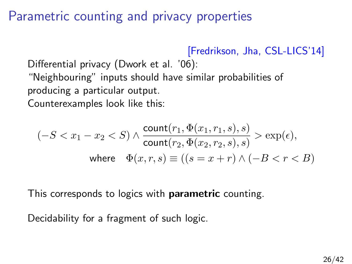### Parametric counting and privacy properties

[Fredrikson, Jha, CSL-LICS'14]

Differential privacy (Dwork et al. '06): "Neighbouring" inputs should have similar probabilities of producing a particular output.

Counterexamples look like this:

$$
(-S < x_1 - x_2 < S) \land \frac{\text{count}(r_1, \Phi(x_1, r_1, s), s)}{\text{count}(r_2, \Phi(x_2, r_2, s), s)} > \exp(\epsilon),
$$
\n
$$
\text{where } \Phi(x, r, s) \equiv ((s = x + r) \land (-B < r < B))
$$

This corresponds to logics with **parametric** counting.

Decidability for a fragment of such logic.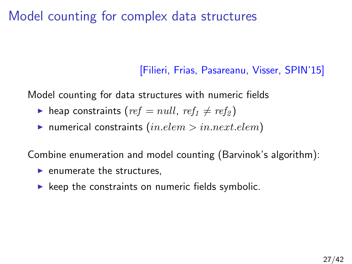# Model counting for complex data structures

### [Filieri, Frias, Pasareanu, Visser, SPIN'15]

Model counting for data structures with numeric fields

- $\triangleright$  heap constraints (ref = null, ref<sub>1</sub>  $\neq$  ref<sub>2</sub>)
- $\blacktriangleright$  numerical constraints  $(in.elem > in.next. elem)$

Combine enumeration and model counting (Barvinok's algorithm):

- $\blacktriangleright$  enumerate the structures,
- $\blacktriangleright$  keep the constraints on numeric fields symbolic.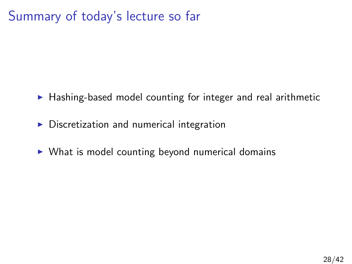# Summary of today's lecture so far

- $\blacktriangleright$  Hashing-based model counting for integer and real arithmetic
- $\triangleright$  Discretization and numerical integration
- $\triangleright$  What is model counting beyond numerical domains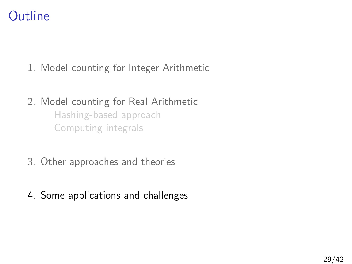# **Outline**

- 1. [Model counting for Integer Arithmetic](#page-5-0)
- 2. [Model counting for Real Arithmetic](#page-14-0) [Hashing-based approach](#page-15-0) [Computing integrals](#page-25-0)
- 3. [Other approaches and theories](#page-27-0)
- <span id="page-34-0"></span>4. [Some applications and challenges](#page-34-0)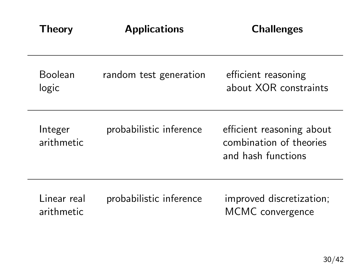| Theory                     | <b>Applications</b>     | <b>Challenges</b>                                                          |
|----------------------------|-------------------------|----------------------------------------------------------------------------|
| <b>Boolean</b><br>logic    | random test generation  | efficient reasoning<br>about XOR constraints                               |
| Integer<br>arithmetic      | probabilistic inference | efficient reasoning about<br>combination of theories<br>and hash functions |
| l inear real<br>arithmetic | probabilistic inference | improved discretization;<br>MCMC convergence                               |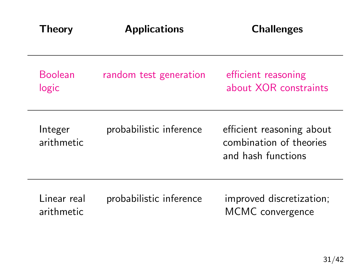| Theory                    | <b>Applications</b>     | <b>Challenges</b>                                                          |
|---------------------------|-------------------------|----------------------------------------------------------------------------|
| <b>Boolean</b><br>logic   | random test generation  | efficient reasoning<br>about XOR constraints                               |
| Integer<br>arithmetic     | probabilistic inference | efficient reasoning about<br>combination of theories<br>and hash functions |
| Linear real<br>arithmetic | probabilistic inference | improved discretization;<br>MCMC convergence                               |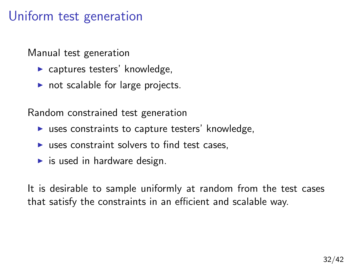### Uniform test generation

Manual test generation

- $\blacktriangleright$  captures testers' knowledge,
- $\triangleright$  not scalable for large projects.

Random constrained test generation

- $\triangleright$  uses constraints to capture testers' knowledge,
- $\triangleright$  uses constraint solvers to find test cases,
- $\blacktriangleright$  is used in hardware design.

It is desirable to sample uniformly at random from the test cases that satisfy the constraints in an efficient and scalable way.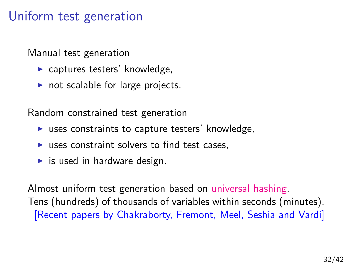### Uniform test generation

Manual test generation

- $\blacktriangleright$  captures testers' knowledge,
- $\triangleright$  not scalable for large projects.

Random constrained test generation

- $\triangleright$  uses constraints to capture testers' knowledge,
- $\triangleright$  uses constraint solvers to find test cases,
- $\blacktriangleright$  is used in hardware design.

Almost uniform test generation based on universal hashing. Tens (hundreds) of thousands of variables within seconds (minutes). [Recent papers by Chakraborty, Fremont, Meel, Seshia and Vardi]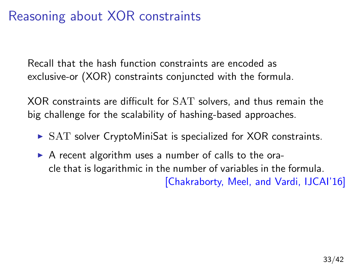# Reasoning about XOR constraints

Recall that the hash function constraints are encoded as exclusive-or (XOR) constraints conjuncted with the formula.

XOR constraints are difficult for SAT solvers, and thus remain the big challenge for the scalability of hashing-based approaches.

- $\triangleright$  SAT solver CryptoMiniSat is specialized for XOR constraints.
- $\triangleright$  A recent algorithm uses a number of calls to the oracle that is logarithmic in the number of variables in the formula. [Chakraborty, Meel, and Vardi, IJCAI'16]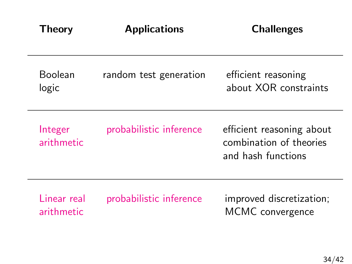| Theory                    | <b>Applications</b>     | <b>Challenges</b>                                                          |
|---------------------------|-------------------------|----------------------------------------------------------------------------|
| Boolean<br>logic          | random test generation  | efficient reasoning<br>about XOR constraints                               |
| Integer<br>arithmetic     | probabilistic inference | efficient reasoning about<br>combination of theories<br>and hash functions |
| Linear real<br>arithmetic | probabilistic inference | improved discretization;<br>MCMC convergence                               |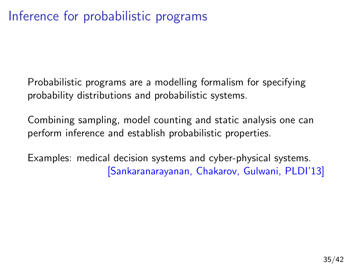Probabilistic programs are a modelling formalism for specifying probability distributions and probabilistic systems.

Combining sampling, model counting and static analysis one can perform inference and establish probabilistic properties.

Examples: medical decision systems and cyber-physical systems. [Sankaranarayanan, Chakarov, Gulwani, PLDI'13]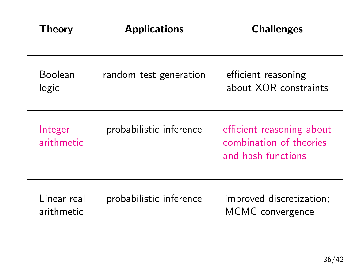| Theory                     | <b>Applications</b>     | <b>Challenges</b>                                                          |
|----------------------------|-------------------------|----------------------------------------------------------------------------|
| <b>Boolean</b><br>logic    | random test generation  | efficient reasoning<br>about XOR constraints                               |
| Integer<br>arithmetic      | probabilistic inference | efficient reasoning about<br>combination of theories<br>and hash functions |
| l inear real<br>arithmetic | probabilistic inference | improved discretization;<br>MCMC convergence                               |

-

٠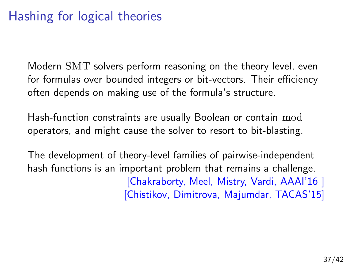# Hashing for logical theories

Modern SMT solvers perform reasoning on the theory level, even for formulas over bounded integers or bit-vectors. Their efficiency often depends on making use of the formula's structure.

Hash-function constraints are usually Boolean or contain mod operators, and might cause the solver to resort to bit-blasting.

The development of theory-level families of pairwise-independent hash functions is an important problem that remains a challenge. [Chakraborty, Meel, Mistry, Vardi, AAAI'16 ] [Chistikov, Dimitrova, Majumdar, TACAS'15]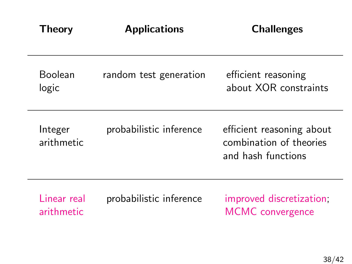| Theory                    | <b>Applications</b>     | <b>Challenges</b>                                                          |
|---------------------------|-------------------------|----------------------------------------------------------------------------|
| <b>Boolean</b><br>logic   | random test generation  | efficient reasoning<br>about XOR constraints                               |
| Integer<br>arithmetic     | probabilistic inference | efficient reasoning about<br>combination of theories<br>and hash functions |
| Linear real<br>arithmetic | probabilistic inference | improved discretization;<br><b>MCMC</b> convergence                        |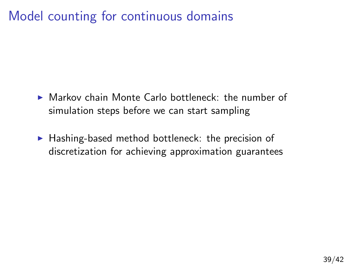# Model counting for continuous domains

- $\blacktriangleright$  Markov chain Monte Carlo bottleneck: the number of simulation steps before we can start sampling
- $\blacktriangleright$  Hashing-based method bottleneck: the precision of discretization for achieving approximation guarantees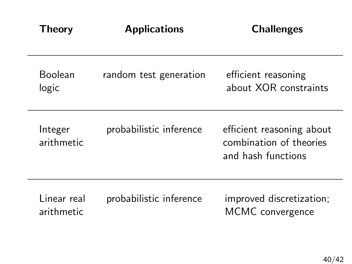| Theory                     | <b>Applications</b>     | <b>Challenges</b>                                                          |
|----------------------------|-------------------------|----------------------------------------------------------------------------|
| <b>Boolean</b><br>logic    | random test generation  | efficient reasoning<br>about XOR constraints                               |
| Integer<br>arithmetic      | probabilistic inference | efficient reasoning about<br>combination of theories<br>and hash functions |
| l inear real<br>arithmetic | probabilistic inference | improved discretization;<br>MCMC convergence                               |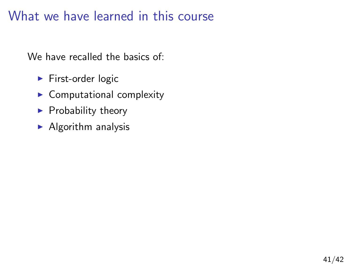# What we have learned in this course

We have recalled the basics of:

- $\blacktriangleright$  First-order logic
- $\blacktriangleright$  Computational complexity
- $\blacktriangleright$  Probability theory
- $\blacktriangleright$  Algorithm analysis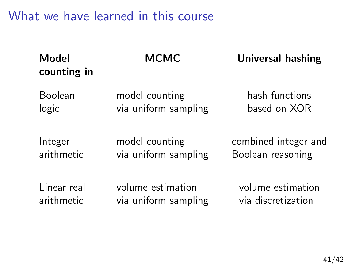# What we have learned in this course

| Model<br>counting in | мсмс                 | <b>Universal hashing</b> |
|----------------------|----------------------|--------------------------|
| Boolean              | model counting       | hash functions           |
| logic                | via uniform sampling | based on XOR             |
| Integer              | model counting       | combined integer and     |
| arithmetic           | via uniform sampling | Boolean reasoning        |
| Linear real          | volume estimation    | volume estimation        |
| arithmetic           | via uniform sampling | via discretization       |